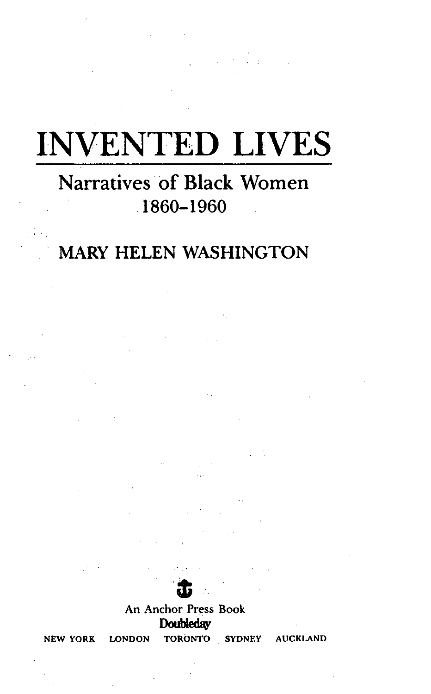# **INVENTED LIVES**

## **Narratives of Black Women** 1860-1960

## **MARY HELEN WASHINGTON**



An Anchor Press Book **Doubleday** 

**NEW YORK** 

**LONDON** 

TORONTO SYDNEY

**AUCKLAND**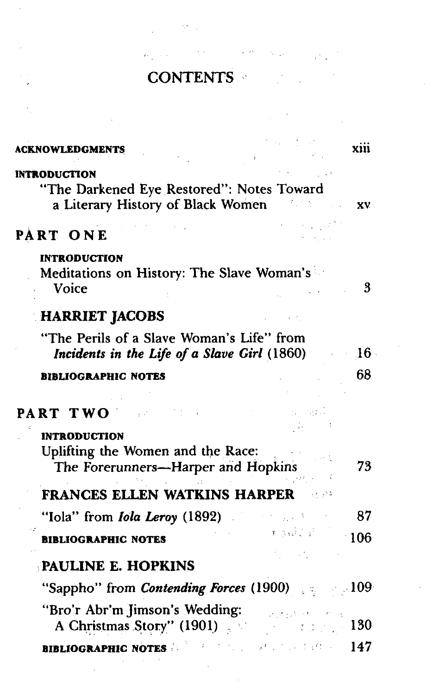# **CONTENTS**

 $\label{eq:Ricci} \rho_{\frac{1}{2},\frac{1}{2}}\left(\frac{1}{2}\right)^{\frac{1}{2}}\left(\frac{1}{2}\right)^{\frac{1}{2}}\left(\frac{1}{2}\right)^{\frac{1}{2}}\left(\frac{1}{2}\right)^{\frac{1}{2}}\left(\frac{1}{2}\right)^{\frac{1}{2}}\left(\frac{1}{2}\right)^{\frac{1}{2}}\left(\frac{1}{2}\right)^{\frac{1}{2}}\left(\frac{1}{2}\right)^{\frac{1}{2}}\left(\frac{1}{2}\right)^{\frac{1}{2}}\left(\frac{1}{2}\right)^{\frac{1}{2}}\left(\frac{1}{2}\right)^{\frac{$ 

 $\label{eq:2.1} \frac{1}{\sqrt{2}}\left(\frac{1}{\sqrt{2}}\right)^{2} \left(\frac{1}{\sqrt{2}}\right)^{2} \left(\frac{1}{\sqrt{2}}\right)^{2} \left(\frac{1}{\sqrt{2}}\right)^{2} \left(\frac{1}{\sqrt{2}}\right)^{2} \left(\frac{1}{\sqrt{2}}\right)^{2} \left(\frac{1}{\sqrt{2}}\right)^{2} \left(\frac{1}{\sqrt{2}}\right)^{2} \left(\frac{1}{\sqrt{2}}\right)^{2} \left(\frac{1}{\sqrt{2}}\right)^{2} \left(\frac{1}{\sqrt{2}}\right)^{2} \left(\$ 

 $\Delta \sim 10^{10} M_\odot$  ks

 $\mathcal{L}^{\text{max}}_{\text{max}}$  and  $\mathcal{L}^{\text{max}}_{\text{max}}$ 

| ACKNOWLEDGMENTS                                                                                       | XIII                      |
|-------------------------------------------------------------------------------------------------------|---------------------------|
| <b>INTRODUCTION</b><br>"The Darkened Eye Restored": Notes Toward<br>a Literary History of Black Women | . <b>xv</b>               |
| PART ONE                                                                                              |                           |
| <b>INTRODUCTION</b><br>Meditations on History: The Slave Woman's<br>Voice                             | 3                         |
| <b>HARRIET JACOBS</b>                                                                                 |                           |
| "The Perils of a Slave Woman's Life" from<br>Incidents in the Life of a Slave Girl (1860)             | $16-$                     |
| <b>BIBLIOGRAPHIC NOTES</b>                                                                            | 68                        |
| PART TWO                                                                                              |                           |
| <b>INTRODUCTION</b><br>Uplifting the Women and the Race:<br>The Forerunners-Harper and Hopkins        | 73                        |
| FRANCES ELLEN WATKINS HARPER                                                                          |                           |
| "Iola" from <i>Iola Leroy</i> $(1892)$                                                                | 87                        |
| <b>BIBLIOGRAPHIC NOTES</b>                                                                            | $-3 - 23 + 1 - 3$<br>106  |
| PAULINE E. HOPKINS                                                                                    |                           |
| "Sappho" from <i>Contending Forces</i> (1900) and separate 109                                        |                           |
| "Bro'r Abr'm Jimson's Wedding:<br>A Christmas Story" (1901)                                           | $\tau_{\rm eff} \sim 130$ |
|                                                                                                       |                           |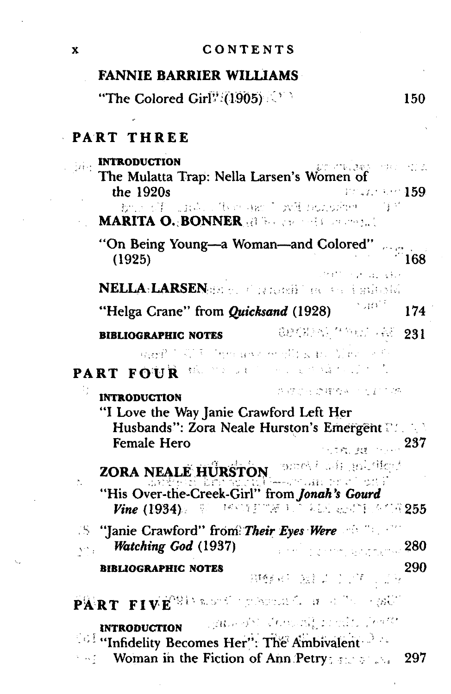#### CONTENTS

#### **FANNIE BARRIER WILLIAMS**

"The Colored Girl<sup>p</sup>?(1905) 150

#### $\epsilon$ PART THREE

| <b>INTRODUCTION</b><br>The Mulatta Trap: Nella Larsen's Women                                                                                                                           | มทศาลเลย กระบางเรื่อ                            |
|-----------------------------------------------------------------------------------------------------------------------------------------------------------------------------------------|-------------------------------------------------|
| the 1920s                                                                                                                                                                               | Pristing 159.                                   |
| but of Justice (Website of Discussion)<br><b>MARITA O. BONNER All the second constants</b>                                                                                              | 守护                                              |
| "On Being Young-a Woman-and Colored"<br>(1925)                                                                                                                                          | 168                                             |
| NELLA-LARSENER et al altoni) i de l'est i suite sté                                                                                                                                     |                                                 |
| "Helga Crane" from <i>Quicksand</i> (1928)                                                                                                                                              | ្មរស្រី<br>174                                  |
| <b>BIBLIOGRAPHIC NOTES</b>                                                                                                                                                              | <b>一般地传给不合 11 的现在分词 281</b>                     |
| ageP T W T The art of Elisabet Mac of th<br>PART FOUR                                                                                                                                   | (株)の しょうしゃしょう 違うことうな                            |
| <b>INTRODUCTION</b><br>"I Love the Way Janie Crawford Left Her<br>Husbands": Zora Neale Hurston's Emergent<br><b>Female Hero</b>                                                        | カップロー のぼりゅう しょこうめ<br>237<br><b>CONCRET</b>      |
| ZORA NEALE HURSTON, DEED AND HELDING                                                                                                                                                    |                                                 |
| "His Over-the-Creek-Girl" from Jonah's Gourd<br>Vine $(1934)$ and $\mathbb{R}^3$ . The state of $\mathbb{R}^3$ , and all algebras $\mathbb{R}^3$ , $\mathbb{R}^3$ $255$                 |                                                 |
| <b>S</b> "Janie Crawford" from Their Eyes Were of The Co<br>Watching God (1937)                                                                                                         | and in present and $\rm 280$                    |
| <b>BIBLIOGRAPHIC NOTES</b>                                                                                                                                                              | 290<br>排酵母 独立工作工作                               |
| $\widehat{\mathbf{P}}\widehat{\mathbf{A}}^{\dagger}\mathbf{R}\mathbf{T}$ , $\mathbf{F}\mathbf{I}\mathbf{V}\widehat{\mathbf{E}}^{\mathrm{O}}$ is a set operator $\sigma$ , and the equal |                                                 |
| <b>INTRODUCTION</b><br><b>Confliction of the Secomes Hermit The Ambivalent</b> of the<br>Woman in the Fiction of Ann Petry $\mathbb{R}^n$                                               | inghour of the Commonly of which for the<br>297 |